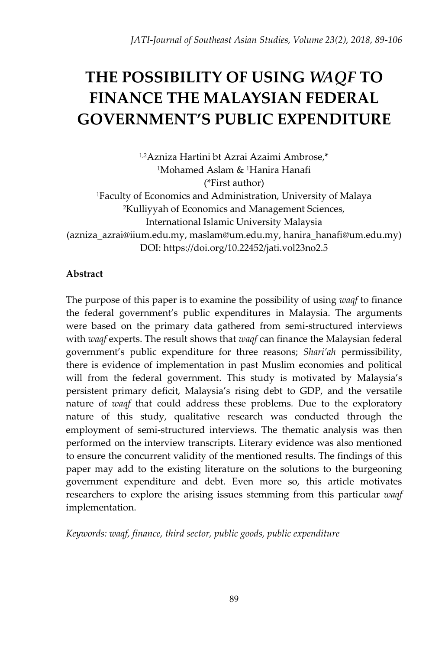# **THE POSSIBILITY OF USING** *WAQF* **TO FINANCE THE MALAYSIAN FEDERAL GOVERNMENT'S PUBLIC EXPENDITURE**

1,2Azniza Hartini bt Azrai Azaimi Ambrose,\* <sup>1</sup>Mohamed Aslam & <sup>1</sup>Hanira Hanafi (\*First author) <sup>1</sup>Faculty of Economics and Administration, University of Malaya <sup>2</sup>Kulliyyah of Economics and Management Sciences, International Islamic University Malaysia [\(azniza\\_azrai@iium.edu.my,](mailto:azniza_azrai@iium.edu.my) [maslam@um.edu.my,](mailto:maslam@um.edu.my) [hanira\\_hanafi@um.edu.my\)](mailto:hanira_hanafi@um.edu.my) DOI: https://doi.org/10.22452/jati.vol23no2.5

## **Abstract**

The purpose of this paper is to examine the possibility of using *waqf* to finance the federal government's public expenditures in Malaysia. The arguments were based on the primary data gathered from semi-structured interviews with *waqf* experts. The result shows that *waqf* can finance the Malaysian federal government's public expenditure for three reasons; *Shari'ah* permissibility, there is evidence of implementation in past Muslim economies and political will from the federal government. This study is motivated by Malaysia's persistent primary deficit, Malaysia's rising debt to GDP, and the versatile nature of *waqf* that could address these problems*.* Due to the exploratory nature of this study, qualitative research was conducted through the employment of semi-structured interviews. The thematic analysis was then performed on the interview transcripts. Literary evidence was also mentioned to ensure the concurrent validity of the mentioned results. The findings of this paper may add to the existing literature on the solutions to the burgeoning government expenditure and debt. Even more so, this article motivates researchers to explore the arising issues stemming from this particular *waqf*  implementation.

*Keywords: waqf, finance, third sector, public goods, public expenditure*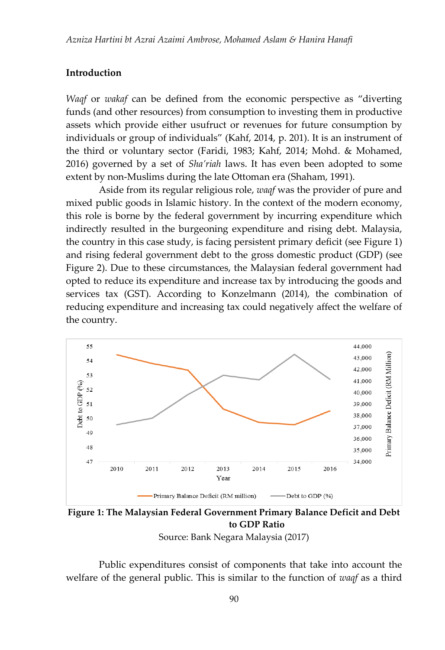#### **Introduction**

*Waqf* or *wakaf* can be defined from the economic perspective as "diverting funds (and other resources) from consumption to investing them in productive assets which provide either usufruct or revenues for future consumption by individuals or group of individuals" (Kahf, 2014, p. 201). It is an instrument of the third or voluntary sector (Faridi, 1983; Kahf, 2014; Mohd. & Mohamed, 2016) governed by a set of *Sha'riah* laws. It has even been adopted to some extent by non-Muslims during the late Ottoman era (Shaham, 1991).

Aside from its regular religious role, *waqf* was the provider of pure and mixed public goods in Islamic history. In the context of the modern economy, this role is borne by the federal government by incurring expenditure which indirectly resulted in the burgeoning expenditure and rising debt. Malaysia, the country in this case study, is facing persistent primary deficit (see Figure 1) and rising federal government debt to the gross domestic product (GDP) (see Figure 2). Due to these circumstances, the Malaysian federal government had opted to reduce its expenditure and increase tax by introducing the goods and services tax (GST). According to Konzelmann (2014), the combination of reducing expenditure and increasing tax could negatively affect the welfare of the country.



**Figure 1: The Malaysian Federal Government Primary Balance Deficit and Debt to GDP Ratio**

Source: Bank Negara Malaysia (2017)

Public expenditures consist of components that take into account the welfare of the general public. This is similar to the function of *waqf* as a third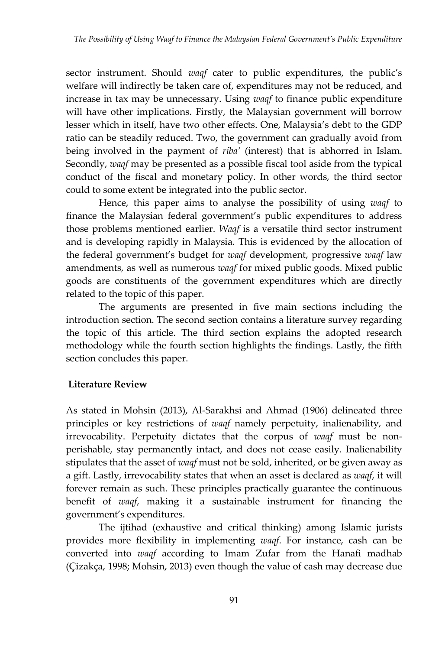sector instrument. Should *waqf* cater to public expenditures, the public's welfare will indirectly be taken care of, expenditures may not be reduced, and increase in tax may be unnecessary. Using *waqf* to finance public expenditure will have other implications. Firstly, the Malaysian government will borrow lesser which in itself, have two other effects. One, Malaysia's debt to the GDP ratio can be steadily reduced. Two, the government can gradually avoid from being involved in the payment of *riba'* (interest) that is abhorred in Islam. Secondly, *waqf* may be presented as a possible fiscal tool aside from the typical conduct of the fiscal and monetary policy. In other words, the third sector could to some extent be integrated into the public sector.

Hence, this paper aims to analyse the possibility of using *waqf* to finance the Malaysian federal government's public expenditures to address those problems mentioned earlier. *Waqf* is a versatile third sector instrument and is developing rapidly in Malaysia. This is evidenced by the allocation of the federal government's budget for *waqf* development, progressive *waqf* law amendments, as well as numerous *waqf* for mixed public goods. Mixed public goods are constituents of the government expenditures which are directly related to the topic of this paper.

The arguments are presented in five main sections including the introduction section. The second section contains a literature survey regarding the topic of this article. The third section explains the adopted research methodology while the fourth section highlights the findings. Lastly, the fifth section concludes this paper.

## **Literature Review**

As stated in Mohsin (2013), Al-Sarakhsi and Ahmad (1906) delineated three principles or key restrictions of *waqf* namely perpetuity, inalienability, and irrevocability. Perpetuity dictates that the corpus of *waqf* must be nonperishable, stay permanently intact, and does not cease easily. Inalienability stipulates that the asset of *waqf* must not be sold, inherited, or be given away as a gift. Lastly, irrevocability states that when an asset is declared as *waqf*, it will forever remain as such. These principles practically guarantee the continuous benefit of *waqf*, making it a sustainable instrument for financing the government's expenditures.

The ijtihad (exhaustive and critical thinking) among Islamic jurists provides more flexibility in implementing *waqf*. For instance, cash can be converted into *waqf* according to Imam Zufar from the Hanafi madhab (Çizakça, 1998; Mohsin, 2013) even though the value of cash may decrease due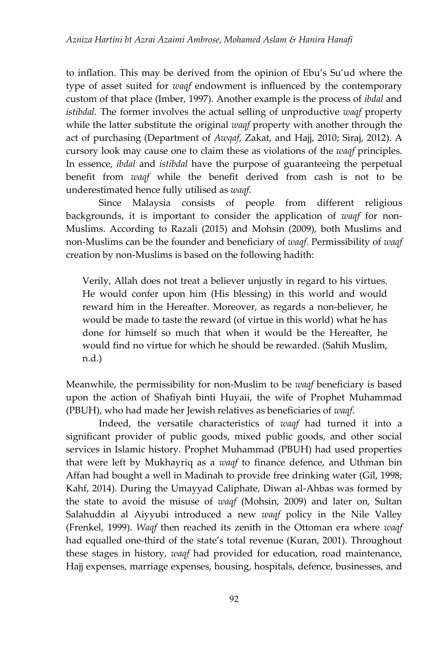to inflation. This may be derived from the opinion of Ebu's Su'ud where the type of asset suited for *waqf* endowment is influenced by the contemporary custom of that place (Imber, 1997)*.* Another example is the process of *ibdal* and *istibdal.* The former involves the actual selling of unproductive *waqf* property while the latter substitute the original *waqf* property with another through the act of purchasing (Department of *Awqaf*, Zakat, and Hajj, 2010; Siraj, 2012). A cursory look may cause one to claim these as violations of the *waqf* principles. In essence, *ibdal* and *istibdal* have the purpose of guaranteeing the perpetual benefit from *waqf* while the benefit derived from cash is not to be underestimated hence fully utilised as *waqf.* 

Since Malaysia consists of people from different religious backgrounds, it is important to consider the application of *waqf* for non-Muslims. According to Razali (2015) and Mohsin (2009), both Muslims and non-Muslims can be the founder and beneficiary of *waqf*. Permissibility of *waqf*  creation by non-Muslims is based on the following hadith:

Verily, Allah does not treat a believer unjustly in regard to his virtues. He would confer upon him (His blessing) in this world and would reward him in the Hereafter. Moreover, as regards a non-believer, he would be made to taste the reward (of virtue in this world) what he has done for himself so much that when it would be the Hereafter, he would find no virtue for which he should be rewarded. (Sahih Muslim, n.d.)

Meanwhile, the permissibility for non-Muslim to be *waqf* beneficiary is based upon the action of Shafiyah binti Huyaii, the wife of Prophet Muhammad (PBUH), who had made her Jewish relatives as beneficiaries of *waqf*.

Indeed, the versatile characteristics of *waqf* had turned it into a significant provider of public goods, mixed public goods, and other social services in Islamic history. Prophet Muhammad (PBUH) had used properties that were left by Mukhayriq as a *waqf* to finance defence, and Uthman bin Affan had bought a well in Madinah to provide free drinking water (Gil, 1998; Kahf, 2014). During the Umayyad Caliphate, Diwan al-Ahbas was formed by the state to avoid the misuse of *waqf* (Mohsin, 2009) and later on, Sultan Salahuddin al Aiyyubi introduced a new *waqf* policy in the Nile Valley (Frenkel, 1999). *Waqf* then reached its zenith in the Ottoman era where *waqf*  had equalled one-third of the state's total revenue (Kuran, 2001). Throughout these stages in history, *waqf* had provided for education, road maintenance, Hajj expenses, marriage expenses, housing, hospitals, defence, businesses, and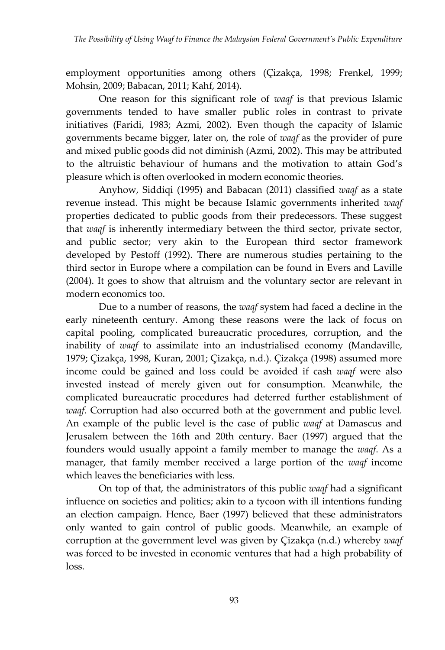employment opportunities among others (Çizakça, 1998; Frenkel, 1999; Mohsin, 2009; Babacan, 2011; Kahf, 2014).

One reason for this significant role of *waqf* is that previous Islamic governments tended to have smaller public roles in contrast to private initiatives (Faridi, 1983; Azmi, 2002). Even though the capacity of Islamic governments became bigger, later on, the role of *waqf* as the provider of pure and mixed public goods did not diminish (Azmi, 2002). This may be attributed to the altruistic behaviour of humans and the motivation to attain God's pleasure which is often overlooked in modern economic theories.

Anyhow, Siddiqi (1995) and Babacan (2011) classified *waqf* as a state revenue instead. This might be because Islamic governments inherited *waqf*  properties dedicated to public goods from their predecessors. These suggest that *waqf* is inherently intermediary between the third sector, private sector, and public sector; very akin to the European third sector framework developed by Pestoff (1992). There are numerous studies pertaining to the third sector in Europe where a compilation can be found in Evers and Laville (2004). It goes to show that altruism and the voluntary sector are relevant in modern economics too.

Due to a number of reasons, the *waqf* system had faced a decline in the early nineteenth century. Among these reasons were the lack of focus on capital pooling, complicated bureaucratic procedures, corruption, and the inability of *waqf* to assimilate into an industrialised economy (Mandaville, 1979; Çizakça, 1998, Kuran, 2001; Çizakça, n.d.). Çizakça (1998) assumed more income could be gained and loss could be avoided if cash *waqf* were also invested instead of merely given out for consumption. Meanwhile, the complicated bureaucratic procedures had deterred further establishment of *waqf*. Corruption had also occurred both at the government and public level. An example of the public level is the case of public *waqf* at Damascus and Jerusalem between the 16th and 20th century. Baer (1997) argued that the founders would usually appoint a family member to manage the *waqf*. As a manager, that family member received a large portion of the *waqf* income which leaves the beneficiaries with less.

 On top of that, the administrators of this public *waqf* had a significant influence on societies and politics; akin to a tycoon with ill intentions funding an election campaign. Hence, Baer (1997) believed that these administrators only wanted to gain control of public goods. Meanwhile, an example of corruption at the government level was given by Çizakça (n.d.) whereby *waqf* was forced to be invested in economic ventures that had a high probability of loss.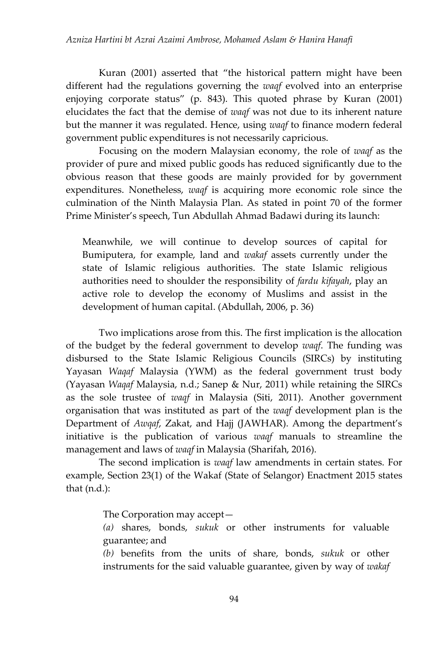Kuran (2001) asserted that "the historical pattern might have been different had the regulations governing the *waqf* evolved into an enterprise enjoying corporate status" (p. 843). This quoted phrase by Kuran (2001) elucidates the fact that the demise of *waqf* was not due to its inherent nature but the manner it was regulated. Hence, using *waqf* to finance modern federal government public expenditures is not necessarily capricious.

Focusing on the modern Malaysian economy, the role of *waqf* as the provider of pure and mixed public goods has reduced significantly due to the obvious reason that these goods are mainly provided for by government expenditures. Nonetheless, *waqf* is acquiring more economic role since the culmination of the Ninth Malaysia Plan. As stated in point 70 of the former Prime Minister's speech, Tun Abdullah Ahmad Badawi during its launch:

Meanwhile, we will continue to develop sources of capital for Bumiputera, for example, land and *wakaf* assets currently under the state of Islamic religious authorities. The state Islamic religious authorities need to shoulder the responsibility of *fardu kifayah*, play an active role to develop the economy of Muslims and assist in the development of human capital. (Abdullah, 2006, p. 36)

Two implications arose from this. The first implication is the allocation of the budget by the federal government to develop *waqf*. The funding was disbursed to the State Islamic Religious Councils (SIRCs) by instituting Yayasan *Waqaf* Malaysia (YWM) as the federal government trust body (Yayasan *Waqaf* Malaysia, n.d.; Sanep & Nur, 2011) while retaining the SIRCs as the sole trustee of *waqf* in Malaysia (Siti, 2011). Another government organisation that was instituted as part of the *waqf* development plan is the Department of *Awqaf*, Zakat, and Hajj (JAWHAR). Among the department's initiative is the publication of various *waqf* manuals to streamline the management and laws of *waqf* in Malaysia (Sharifah, 2016).

The second implication is *waqf* law amendments in certain states. For example, Section 23(1) of the Wakaf (State of Selangor) Enactment 2015 states that (n.d.):

The Corporation may accept—

*(a)* shares, bonds, *sukuk* or other instruments for valuable guarantee; and

*(b)* benefits from the units of share, bonds, *sukuk* or other instruments for the said valuable guarantee, given by way of *wakaf*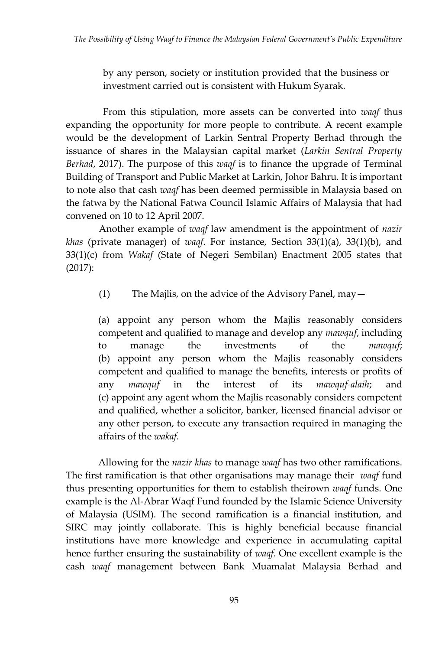by any person, society or institution provided that the business or investment carried out is consistent with Hukum Syarak.

From this stipulation, more assets can be converted into *waqf* thus expanding the opportunity for more people to contribute*.* A recent example would be the development of Larkin Sentral Property Berhad through the issuance of shares in the Malaysian capital market (*Larkin Sentral Property Berhad*, 2017). The purpose of this *waqf* is to finance the upgrade of Terminal Building of Transport and Public Market at Larkin, Johor Bahru. It is important to note also that cash *waqf* has been deemed permissible in Malaysia based on the fatwa by the National Fatwa Council Islamic Affairs of Malaysia that had convened on 10 to 12 April 2007.

Another example of *waqf* law amendment is the appointment of *nazir khas* (private manager) of *waqf*. For instance, Section 33(1)(a), 33(1)(b), and 33(1)(c) from *Wakaf* (State of Negeri Sembilan) Enactment 2005 states that (2017):

(1) The Majlis, on the advice of the Advisory Panel, may—

(a) appoint any person whom the Majlis reasonably considers competent and qualified to manage and develop any *mawquf*, including to manage the investments of the *mawquf*; (b) appoint any person whom the Majlis reasonably considers competent and qualified to manage the benefits, interests or profits of any *mawquf* in the interest of its *mawquf-alaih*; and (c) appoint any agent whom the Majlis reasonably considers competent and qualified, whether a solicitor, banker, licensed financial advisor or any other person, to execute any transaction required in managing the affairs of the *wakaf*.

Allowing for the *nazir khas* to manage *waqf* has two other ramifications. The first ramification is that other organisations may manage their *waqf* fund thus presenting opportunities for them to establish theirown *waqf* funds. One example is the Al-Abrar Waqf Fund founded by the Islamic Science University of Malaysia (USIM). The second ramification is a financial institution, and SIRC may jointly collaborate. This is highly beneficial because financial institutions have more knowledge and experience in accumulating capital hence further ensuring the sustainability of *waqf*. One excellent example is the cash *waqf* management between Bank Muamalat Malaysia Berhad and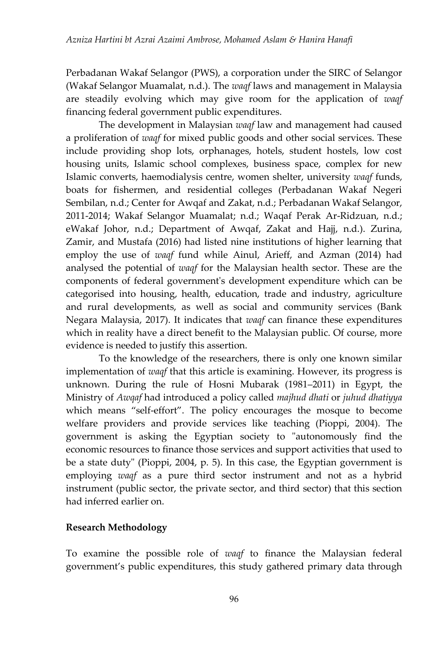Perbadanan Wakaf Selangor (PWS), a corporation under the SIRC of Selangor (Wakaf Selangor Muamalat, n.d.). The *waqf* laws and management in Malaysia are steadily evolving which may give room for the application of *waqf*  financing federal government public expenditures.

The development in Malaysian *waqf* law and management had caused a proliferation of *waqf* for mixed public goods and other social services. These include providing shop lots, orphanages, hotels, student hostels, low cost housing units, Islamic school complexes, business space, complex for new Islamic converts, haemodialysis centre, women shelter, university *waqf* funds, boats for fishermen, and residential colleges (Perbadanan Wakaf Negeri Sembilan, n.d.; Center for Awqaf and Zakat, n.d.; Perbadanan Wakaf Selangor, 2011-2014; Wakaf Selangor Muamalat; n.d.; Waqaf Perak Ar-Ridzuan, n.d.; eWakaf Johor, n.d.; Department of Awqaf, Zakat and Hajj, n.d.). Zurina, Zamir, and Mustafa (2016) had listed nine institutions of higher learning that employ the use of *waqf* fund while Ainul, Arieff, and Azman (2014) had analysed the potential of *waqf* for the Malaysian health sector. These are the components of federal government's development expenditure which can be categorised into housing, health, education, trade and industry, agriculture and rural developments, as well as social and community services (Bank Negara Malaysia, 2017). It indicates that *waqf* can finance these expenditures which in reality have a direct benefit to the Malaysian public. Of course, more evidence is needed to justify this assertion.

To the knowledge of the researchers, there is only one known similar implementation of *waqf* that this article is examining. However, its progress is unknown. During the rule of Hosni Mubarak (1981–2011) in Egypt, the Ministry of *Awqaf* had introduced a policy called *majhud dhati* or *juhud dhatiyya* which means "self-effort". The policy encourages the mosque to become welfare providers and provide services like teaching (Pioppi, 2004). The government is asking the Egyptian society to "autonomously find the economic resources to finance those services and support activities that used to be a state duty" (Pioppi, 2004, p. 5). In this case, the Egyptian government is employing *waqf* as a pure third sector instrument and not as a hybrid instrument (public sector, the private sector, and third sector) that this section had inferred earlier on.

## **Research Methodology**

To examine the possible role of *waqf* to finance the Malaysian federal government's public expenditures, this study gathered primary data through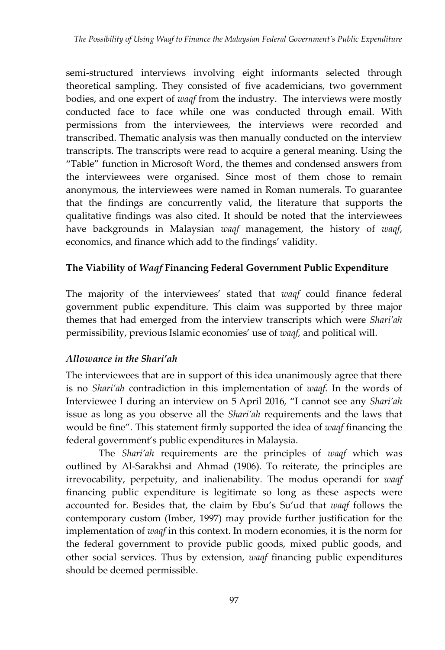semi-structured interviews involving eight informants selected through theoretical sampling. They consisted of five academicians, two government bodies, and one expert of *waqf* from the industry. The interviews were mostly conducted face to face while one was conducted through email. With permissions from the interviewees, the interviews were recorded and transcribed. Thematic analysis was then manually conducted on the interview transcripts. The transcripts were read to acquire a general meaning. Using the "Table" function in Microsoft Word, the themes and condensed answers from the interviewees were organised. Since most of them chose to remain anonymous, the interviewees were named in Roman numerals. To guarantee that the findings are concurrently valid, the literature that supports the qualitative findings was also cited. It should be noted that the interviewees have backgrounds in Malaysian *waqf* management, the history of *waqf*, economics, and finance which add to the findings' validity.

## **The Viability of** *Waqf* **Financing Federal Government Public Expenditure**

The majority of the interviewees' stated that *waqf* could finance federal government public expenditure. This claim was supported by three major themes that had emerged from the interview transcripts which were *Shari'ah*  permissibility, previous Islamic economies' use of *waqf,* and political will.

## *Allowance in the Shari'ah*

The interviewees that are in support of this idea unanimously agree that there is no *Shari'ah* contradiction in this implementation of *waqf*. In the words of Interviewee I during an interview on 5 April 2016, "I cannot see any *Shari'ah*  issue as long as you observe all the *Shari'ah* requirements and the laws that would be fine". This statement firmly supported the idea of *waqf* financing the federal government's public expenditures in Malaysia.

The *Shari'ah* requirements are the principles of *waqf* which was outlined by Al-Sarakhsi and Ahmad (1906). To reiterate, the principles are irrevocability, perpetuity, and inalienability*.* The modus operandi for *waqf*  financing public expenditure is legitimate so long as these aspects were accounted for. Besides that, the claim by Ebu's Su'ud that *waqf* follows the contemporary custom (Imber, 1997) may provide further justification for the implementation of *waqf* in this context. In modern economies, it is the norm for the federal government to provide public goods, mixed public goods, and other social services. Thus by extension, *waqf* financing public expenditures should be deemed permissible.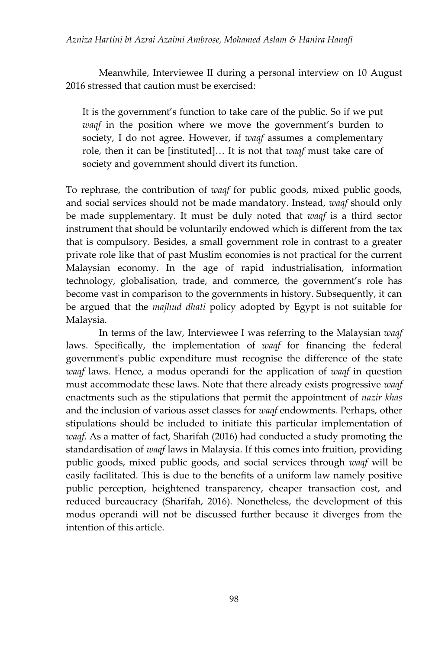Meanwhile, Interviewee II during a personal interview on 10 August 2016 stressed that caution must be exercised:

It is the government's function to take care of the public. So if we put *waqf* in the position where we move the government's burden to society, I do not agree. However, if *waqf* assumes a complementary role, then it can be [instituted]… It is not that *waqf* must take care of society and government should divert its function.

To rephrase, the contribution of *waqf* for public goods, mixed public goods, and social services should not be made mandatory. Instead, *waqf* should only be made supplementary. It must be duly noted that *waqf* is a third sector instrument that should be voluntarily endowed which is different from the tax that is compulsory. Besides, a small government role in contrast to a greater private role like that of past Muslim economies is not practical for the current Malaysian economy. In the age of rapid industrialisation, information technology, globalisation, trade, and commerce, the government's role has become vast in comparison to the governments in history. Subsequently, it can be argued that the *majhud dhati* policy adopted by Egypt is not suitable for Malaysia.

In terms of the law, Interviewee I was referring to the Malaysian *waqf*  laws. Specifically, the implementation of *waqf* for financing the federal government's public expenditure must recognise the difference of the state *waqf* laws. Hence, a modus operandi for the application of *waqf* in question must accommodate these laws. Note that there already exists progressive *waqf*  enactments such as the stipulations that permit the appointment of *nazir khas* and the inclusion of various asset classes for *waqf* endowments*.* Perhaps, other stipulations should be included to initiate this particular implementation of *waqf*. As a matter of fact, Sharifah (2016) had conducted a study promoting the standardisation of *waqf* laws in Malaysia. If this comes into fruition, providing public goods, mixed public goods, and social services through *waqf* will be easily facilitated. This is due to the benefits of a uniform law namely positive public perception, heightened transparency, cheaper transaction cost, and reduced bureaucracy (Sharifah, 2016). Nonetheless, the development of this modus operandi will not be discussed further because it diverges from the intention of this article.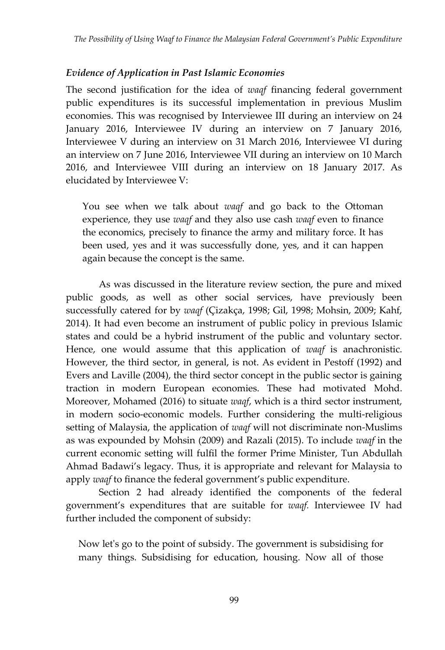#### *Evidence of Application in Past Islamic Economies*

The second justification for the idea of *waqf* financing federal government public expenditures is its successful implementation in previous Muslim economies. This was recognised by Interviewee III during an interview on 24 January 2016, Interviewee IV during an interview on 7 January 2016, Interviewee V during an interview on 31 March 2016, Interviewee VI during an interview on 7 June 2016, Interviewee VII during an interview on 10 March 2016, and Interviewee VIII during an interview on 18 January 2017. As elucidated by Interviewee V:

You see when we talk about *waqf* and go back to the Ottoman experience, they use *waqf* and they also use cash *waqf* even to finance the economics, precisely to finance the army and military force. It has been used, yes and it was successfully done, yes, and it can happen again because the concept is the same.

As was discussed in the literature review section, the pure and mixed public goods, as well as other social services, have previously been successfully catered for by *waqf* (Çizakça, 1998; Gil, 1998; Mohsin, 2009; Kahf, 2014). It had even become an instrument of public policy in previous Islamic states and could be a hybrid instrument of the public and voluntary sector. Hence, one would assume that this application of *waqf* is anachronistic. However, the third sector, in general, is not. As evident in Pestoff (1992) and Evers and Laville (2004), the third sector concept in the public sector is gaining traction in modern European economies. These had motivated Mohd. Moreover, Mohamed (2016) to situate *waqf*, which is a third sector instrument, in modern socio-economic models. Further considering the multi-religious setting of Malaysia, the application of *waqf* will not discriminate non-Muslims as was expounded by Mohsin (2009) and Razali (2015). To include *waqf* in the current economic setting will fulfil the former Prime Minister, Tun Abdullah Ahmad Badawi's legacy. Thus, it is appropriate and relevant for Malaysia to apply *waqf* to finance the federal government's public expenditure.

Section 2 had already identified the components of the federal government's expenditures that are suitable for *waqf.* Interviewee IV had further included the component of subsidy:

Now let's go to the point of subsidy. The government is subsidising for many things. Subsidising for education, housing. Now all of those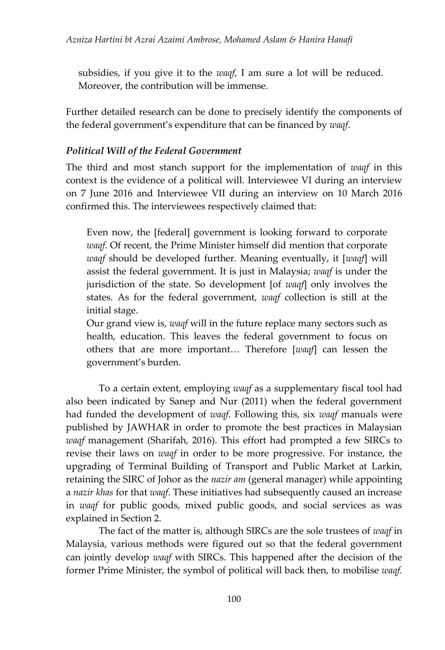subsidies, if you give it to the *waqf*, I am sure a lot will be reduced. Moreover, the contribution will be immense.

Further detailed research can be done to precisely identify the components of the federal government's expenditure that can be financed by *waqf*.

#### *Political Will of the Federal Government*

The third and most stanch support for the implementation of *waqf* in this context is the evidence of a political will. Interviewee VI during an interview on 7 June 2016 and Interviewee VII during an interview on 10 March 2016 confirmed this. The interviewees respectively claimed that:

Even now, the [federal] government is looking forward to corporate *waqf*. Of recent, the Prime Minister himself did mention that corporate *waqf* should be developed further. Meaning eventually, it [*waqf*] will assist the federal government. It is just in Malaysia; *waqf* is under the jurisdiction of the state. So development [of *waqf*] only involves the states. As for the federal government, *waqf* collection is still at the initial stage.

Our grand view is, *waqf* will in the future replace many sectors such as health, education. This leaves the federal government to focus on others that are more important… Therefore [*waqf*] can lessen the government's burden.

To a certain extent, employing *waqf* as a supplementary fiscal tool had also been indicated by Sanep and Nur (2011) when the federal government had funded the development of *waqf*. Following this, six *waqf* manuals were published by JAWHAR in order to promote the best practices in Malaysian *waqf* management (Sharifah, 2016). This effort had prompted a few SIRCs to revise their laws on *waqf* in order to be more progressive. For instance, the upgrading of Terminal Building of Transport and Public Market at Larkin, retaining the SIRC of Johor as the *nazir am* (general manager) while appointing a *nazir khas* for that *waqf*. These initiatives had subsequently caused an increase in *waqf* for public goods, mixed public goods, and social services as was explained in Section 2.

The fact of the matter is, although SIRCs are the sole trustees of *waqf* in Malaysia, various methods were figured out so that the federal government can jointly develop *waqf* with SIRCs. This happened after the decision of the former Prime Minister, the symbol of political will back then, to mobilise *waqf.*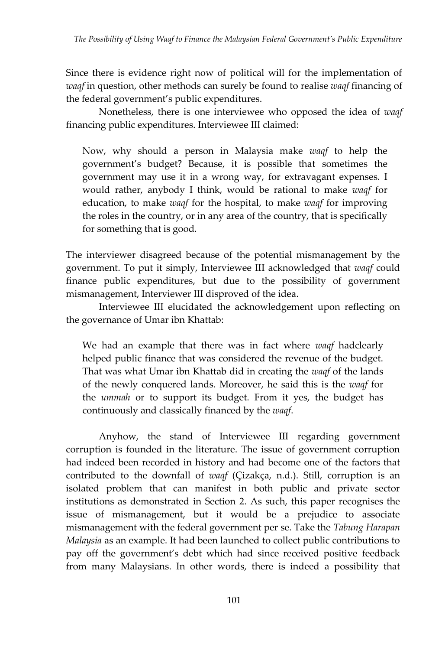Since there is evidence right now of political will for the implementation of *waqf* in question, other methods can surely be found to realise *waqf* financing of the federal government's public expenditures.

Nonetheless, there is one interviewee who opposed the idea of *waqf*  financing public expenditures. Interviewee III claimed:

Now, why should a person in Malaysia make *waqf* to help the government's budget? Because, it is possible that sometimes the government may use it in a wrong way, for extravagant expenses. I would rather, anybody I think, would be rational to make *waqf* for education, to make *waqf* for the hospital, to make *waqf* for improving the roles in the country, or in any area of the country, that is specifically for something that is good.

The interviewer disagreed because of the potential mismanagement by the government. To put it simply, Interviewee III acknowledged that *waqf* could finance public expenditures, but due to the possibility of government mismanagement, Interviewer III disproved of the idea.

Interviewee III elucidated the acknowledgement upon reflecting on the governance of Umar ibn Khattab:

We had an example that there was in fact where *waqf* hadclearly helped public finance that was considered the revenue of the budget. That was what Umar ibn Khattab did in creating the *waqf* of the lands of the newly conquered lands. Moreover, he said this is the *waqf* for the *ummah* or to support its budget. From it yes, the budget has continuously and classically financed by the *waqf*.

Anyhow, the stand of Interviewee III regarding government corruption is founded in the literature. The issue of government corruption had indeed been recorded in history and had become one of the factors that contributed to the downfall of *waqf* (Çizakça, n.d.). Still, corruption is an isolated problem that can manifest in both public and private sector institutions as demonstrated in Section 2. As such, this paper recognises the issue of mismanagement, but it would be a prejudice to associate mismanagement with the federal government per se. Take the *Tabung Harapan Malaysia* as an example. It had been launched to collect public contributions to pay off the government's debt which had since received positive feedback from many Malaysians. In other words, there is indeed a possibility that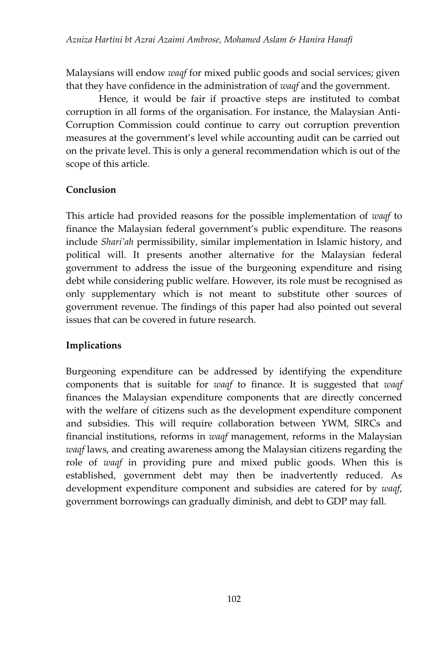Malaysians will endow *waqf* for mixed public goods and social services; given that they have confidence in the administration of *waqf* and the government.

Hence, it would be fair if proactive steps are instituted to combat corruption in all forms of the organisation. For instance, the Malaysian Anti-Corruption Commission could continue to carry out corruption prevention measures at the government's level while accounting audit can be carried out on the private level. This is only a general recommendation which is out of the scope of this article.

## **Conclusion**

This article had provided reasons for the possible implementation of *waqf* to finance the Malaysian federal government's public expenditure. The reasons include *Shari'ah* permissibility, similar implementation in Islamic history, and political will. It presents another alternative for the Malaysian federal government to address the issue of the burgeoning expenditure and rising debt while considering public welfare. However, its role must be recognised as only supplementary which is not meant to substitute other sources of government revenue. The findings of this paper had also pointed out several issues that can be covered in future research.

## **Implications**

Burgeoning expenditure can be addressed by identifying the expenditure components that is suitable for *waqf* to finance. It is suggested that *waqf*  finances the Malaysian expenditure components that are directly concerned with the welfare of citizens such as the development expenditure component and subsidies. This will require collaboration between YWM, SIRCs and financial institutions, reforms in *waqf* management, reforms in the Malaysian *waqf* laws, and creating awareness among the Malaysian citizens regarding the role of *waqf* in providing pure and mixed public goods. When this is established, government debt may then be inadvertently reduced. As development expenditure component and subsidies are catered for by *waqf*, government borrowings can gradually diminish, and debt to GDP may fall.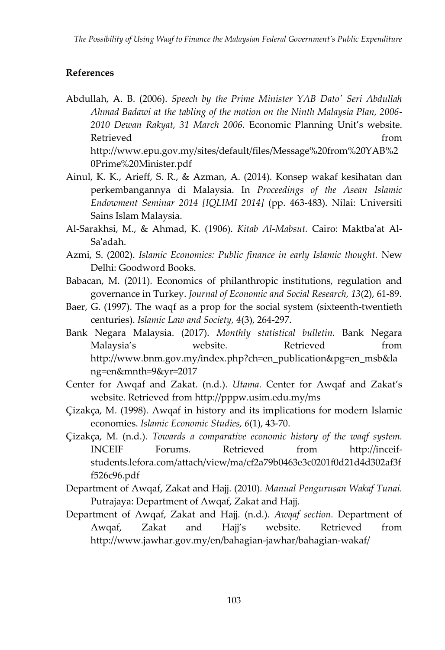#### **References**

- Abdullah, A. B. (2006). *Speech by the Prime Minister YAB Dato' Seri Abdullah Ahmad Badawi at the tabling of the motion on the Ninth Malaysia Plan, 2006- 2010 Dewan Rakyat, 31 March 2006.* Economic Planning Unit's website. Retrieved from the settlement of the settlement of the settlement of the settlement of the settlement of the s [http://www.epu.gov.my/sites/default/files/Message%20from%20YAB%2](http://www.epu.gov.my/sites/default/files/Message%20from%20YAB%20Prime%20Minister.pdf) [0Prime%20Minister.pdf](http://www.epu.gov.my/sites/default/files/Message%20from%20YAB%20Prime%20Minister.pdf)
- Ainul, K. K., Arieff, S. R., & Azman, A. (2014). Konsep wakaf kesihatan dan perkembangannya di Malaysia. In *Proceedings of the Asean Islamic Endowment Seminar 2014 [IQLIMI 2014]* (pp. 463-483). Nilai: Universiti Sains Islam Malaysia.
- Al-Sarakhsi, M., & Ahmad, K. (1906). *Kitab Al-Mabsut.* Cairo: Maktba'at Al-Sa'adah.
- Azmi, S. (2002). *Islamic Economics: Public finance in early Islamic thought.* New Delhi: Goodword Books.
- Babacan, M. (2011). Economics of philanthropic institutions, regulation and governance in Turkey. *Journal of Economic and Social Research, 13*(2), 61-89.
- Baer, G. (1997). The waqf as a prop for the social system (sixteenth-twentieth centuries). *Islamic Law and Society, 4*(3), 264-297.
- Bank Negara Malaysia. (2017). *Monthly statistical bulletin.* Bank Negara Malaysia's website. Retrieved from [http://www.bnm.gov.my/index.php?ch=en\\_publication&pg=en\\_msb&la](http://www.bnm.gov.my/index.php?ch=en_publication&pg=en_msb&lang=en&mnth=9&yr=2017) [ng=en&mnth=9&yr=2017](http://www.bnm.gov.my/index.php?ch=en_publication&pg=en_msb&lang=en&mnth=9&yr=2017)
- Center for Awqaf and Zakat. (n.d.). *Utama*. Center for Awqaf and Zakat's website. Retrieved from<http://pppw.usim.edu.my/ms>
- Çizakça, M. (1998). Awqaf in history and its implications for modern Islamic economies. *Islamic Economic Studies, 6*(1), 43-70.
- Çizakça, M. (n.d.). *Towards a comparative economic history of the waqf system.* INCEIF Forums. Retrieved from [http://inceif](http://inceif-students.lefora.com/attach/view/ma/cf2a79b0463e3c0201f0d21d4d302af3ff526c96.pdf)[students.lefora.com/attach/view/ma/cf2a79b0463e3c0201f0d21d4d302af3f](http://inceif-students.lefora.com/attach/view/ma/cf2a79b0463e3c0201f0d21d4d302af3ff526c96.pdf) [f526c96.pdf](http://inceif-students.lefora.com/attach/view/ma/cf2a79b0463e3c0201f0d21d4d302af3ff526c96.pdf)
- Department of Awqaf, Zakat and Hajj. (2010). *Manual Pengurusan Wakaf Tunai.* Putrajaya: Department of Awqaf, Zakat and Hajj.
- Department of Awqaf, Zakat and Hajj. (n.d.). *Awqaf section.* Department of Awqaf, Zakat and Hajj's website. Retrieved from <http://www.jawhar.gov.my/en/bahagian-jawhar/bahagian-wakaf/>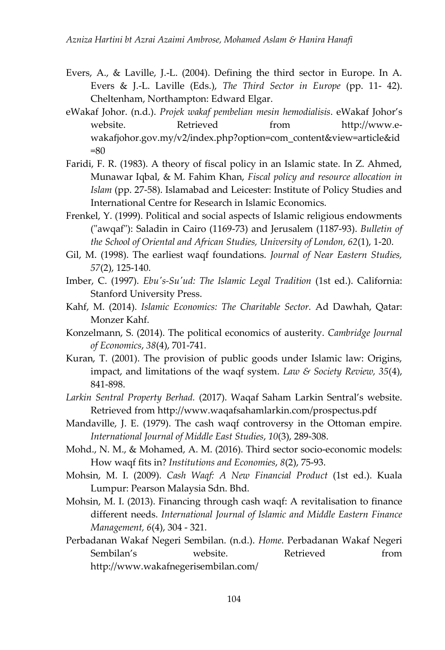- Evers, A., & Laville, J.-L. (2004). Defining the third sector in Europe. In A. Evers & J.-L. Laville (Eds.), *The Third Sector in Europe* (pp. 11- 42). Cheltenham, Northampton: Edward Elgar.
- eWakaf Johor. (n.d.). *Projek wakaf pembelian mesin hemodialisis*. eWakaf Johor's website. Retrieved from [http://www.e](http://www.e-wakafjohor.gov.my/v2/index.php?option=com_content&view=article&id=80)[wakafjohor.gov.my/v2/index.php?option=com\\_content&view=article&id](http://www.e-wakafjohor.gov.my/v2/index.php?option=com_content&view=article&id=80)  $= 80$
- Faridi, F. R. (1983). A theory of fiscal policy in an Islamic state. In Z. Ahmed, Munawar Iqbal, & M. Fahim Khan, *Fiscal policy and resource allocation in Islam* (pp. 27-58). Islamabad and Leicester: Institute of Policy Studies and International Centre for Research in Islamic Economics.
- Frenkel, Y. (1999). Political and social aspects of Islamic religious endowments ("awqaf"): Saladin in Cairo (1169-73) and Jerusalem (1187-93). *Bulletin of the School of Oriental and African Studies, University of London, 62*(1), 1-20.
- Gil, M. (1998). The earliest waqf foundations. *Journal of Near Eastern Studies, 57*(2), 125-140.
- Imber, C. (1997). *Ebu's-Su'ud: The Islamic Legal Tradition* (1st ed.). California: Stanford University Press.
- Kahf, M. (2014). *Islamic Economics: The Charitable Sector.* Ad Dawhah, Qatar: Monzer Kahf.
- Konzelmann, S. (2014). The political economics of austerity. *Cambridge Journal of Economics*, *38*(4), 701-741.
- Kuran, T. (2001). The provision of public goods under Islamic law: Origins, impact, and limitations of the waqf system. *Law & Society Review, 35*(4), 841-898.
- *Larkin Sentral Property Berhad.* (2017). Waqaf Saham Larkin Sentral's website. Retrieved from<http://www.waqafsahamlarkin.com/prospectus.pdf>
- Mandaville, J. E. (1979). The cash waqf controversy in the Ottoman empire. *International Journal of Middle East Studies*, *10*(3), 289-308.
- Mohd., N. M., & Mohamed, A. M. (2016). Third sector socio-economic models: How waqf fits in? *Institutions and Economies*, *8*(2), 75-93.
- Mohsin, M. I. (2009). *Cash Waqf: A New Financial Product* (1st ed.). Kuala Lumpur: Pearson Malaysia Sdn. Bhd.
- Mohsin, M. I. (2013). Financing through cash waqf: A revitalisation to finance different needs. *International Journal of Islamic and Middle Eastern Finance Management, 6*(4), 304 - 321.
- Perbadanan Wakaf Negeri Sembilan. (n.d.). *Home*. Perbadanan Wakaf Negeri Sembilan's website. Retrieved from <http://www.wakafnegerisembilan.com/>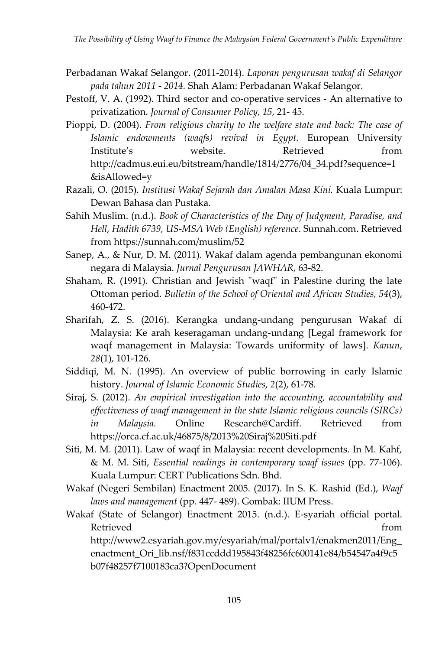- Perbadanan Wakaf Selangor. (2011-2014). *Laporan pengurusan wakaf di Selangor pada tahun 2011 - 2014.* Shah Alam: Perbadanan Wakaf Selangor.
- Pestoff, V. A. (1992). Third sector and co-operative services An alternative to privatization. *Journal of Consumer Policy, 15*, 21- 45.
- Pioppi, D. (2004). *From religious charity to the welfare state and back: The case of Islamic endowments (waqfs) revival in Egypt.* European University Institute's website. Retrieved from [http://cadmus.eui.eu/bitstream/handle/1814/2776/04\\_34.pdf?sequence=1](http://cadmus.eui.eu/bitstream/handle/1814/2776/04_34.pdf?sequence=1&isAllowed=y) [&isAllowed=y](http://cadmus.eui.eu/bitstream/handle/1814/2776/04_34.pdf?sequence=1&isAllowed=y)
- Razali, O. (2015). *Institusi Wakaf Sejarah dan Amalan Masa Kini.* Kuala Lumpur: Dewan Bahasa dan Pustaka.
- Sahih Muslim. (n.d.). *Book of Characteristics of the Day of Judgment, Paradise, and Hell, Hadith 6739, US-MSA Web (English) reference*. Sunnah.com. Retrieved from<https://sunnah.com/muslim/52>
- Sanep, A., & Nur, D. M. (2011). Wakaf dalam agenda pembangunan ekonomi negara di Malaysia. *Jurnal Pengurusan JAWHAR*, 63-82.
- Shaham, R. (1991). Christian and Jewish "waqf" in Palestine during the late Ottoman period. *Bulletin of the School of Oriental and African Studies, 54*(3), 460-472.
- Sharifah, Z. S. (2016). Kerangka undang-undang pengurusan Wakaf di Malaysia: Ke arah keseragaman undang-undang [Legal framework for waqf management in Malaysia: Towards uniformity of laws]. *Kanun*, *28*(1), 101-126.
- Siddiqi, M. N. (1995). An overview of public borrowing in early Islamic history. *Journal of Islamic Economic Studies*, *2*(2), 61-78.
- Siraj, S. (2012). *An empirical investigation into the accounting, accountability and effectiveness of waqf management in the state Islamic religious councils (SIRCs) in Malaysia.* Online Research@Cardiff. Retrieved from <https://orca.cf.ac.uk/46875/8/2013%20Siraj%20Siti.pdf>
- Siti, M. M. (2011). Law of waqf in Malaysia: recent developments. In M. Kahf, & M. M. Siti, *Essential readings in contemporary waqf issues* (pp. 77-106). Kuala Lumpur: CERT Publications Sdn. Bhd.
- Wakaf (Negeri Sembilan) Enactment 2005. (2017). In S. K. Rashid (Ed.), *Waqf laws and management* (pp. 447- 489). Gombak: IIUM Press.
- Wakaf (State of Selangor) Enactment 2015. (n.d.). E-syariah official portal. Retrieved from the settlement of the settlement of the settlement of the settlement of the settlement of the s

[http://www2.esyariah.gov.my/esyariah/mal/portalv1/enakmen2011/Eng\\_](http://www2.esyariah.gov.my/esyariah/mal/portalv1/enakmen2011/Eng_enactment_Ori_lib.nsf/f831ccddd195843f48256fc600141e84/b54547a4f9c5b07f48257f7100183ca3?OpenDocument) enactment Ori lib.nsf/f831ccddd195843f48256fc600141e84/b54547a4f9c5 [b07f48257f7100183ca3?OpenDocument](http://www2.esyariah.gov.my/esyariah/mal/portalv1/enakmen2011/Eng_enactment_Ori_lib.nsf/f831ccddd195843f48256fc600141e84/b54547a4f9c5b07f48257f7100183ca3?OpenDocument)